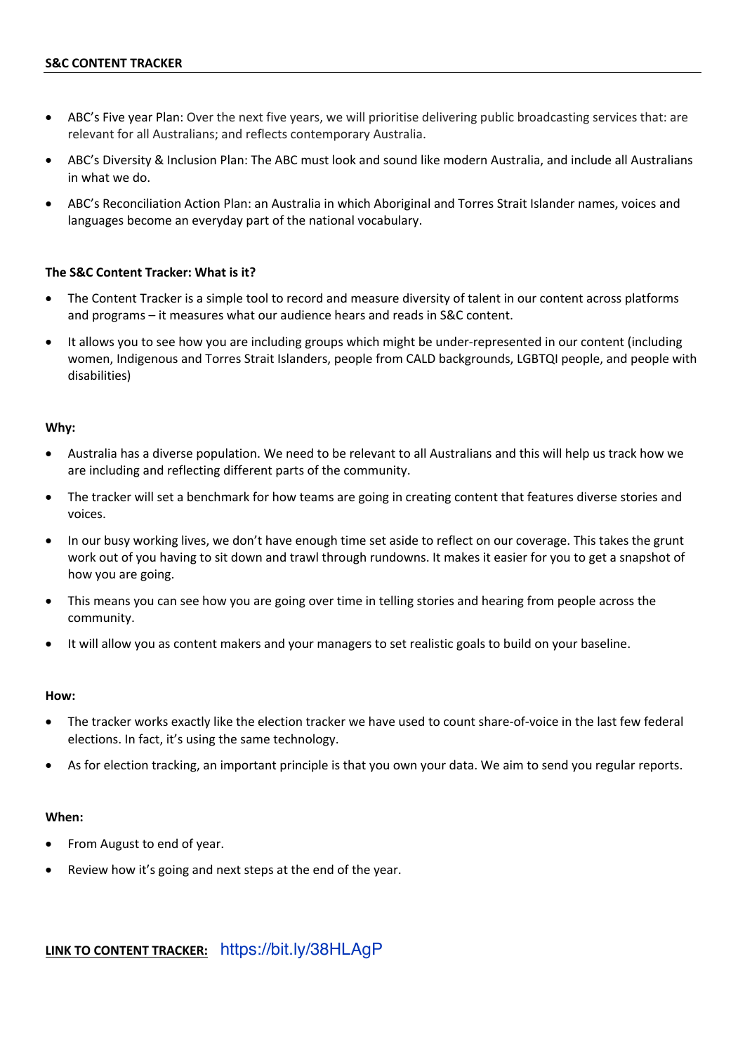- ABC's Five year Plan: Over the next five years, we will prioritise delivering public broadcasting services that: are relevant for all Australians; and reflects contemporary Australia.
- ABC's Diversity & Inclusion Plan: The ABC must look and sound like modern Australia, and include all Australians in what we do.
- ABC's Reconciliation Action Plan: an Australia in which Aboriginal and Torres Strait Islander names, voices and languages become an everyday part of the national vocabulary.

### **The S&C Content Tracker: What is it?**

- The Content Tracker is a simple tool to record and measure diversity of talent in our content across platforms and programs – it measures what our audience hears and reads in S&C content.
- It allows you to see how you are including groups which might be under-represented in our content (including women, Indigenous and Torres Strait Islanders, people from CALD backgrounds, LGBTQI people, and people with disabilities)

### **Why:**

- Australia has a diverse population. We need to be relevant to all Australians and this will help us track how we are including and reflecting different parts of the community.
- The tracker will set a benchmark for how teams are going in creating content that features diverse stories and voices.
- In our busy working lives, we don't have enough time set aside to reflect on our coverage. This takes the grunt work out of you having to sit down and trawl through rundowns. It makes it easier for you to get a snapshot of how you are going.
- This means you can see how you are going over time in telling stories and hearing from people across the community.
- It will allow you as content makers and your managers to set realistic goals to build on your baseline.

#### **How:**

- The tracker works exactly like the election tracker we have used to count share-of-voice in the last few federal elections. In fact, it's using the same technology.
- As for election tracking, an important principle is that you own your data. We aim to send you regular reports.

### **When:**

- From August to end of year.
- Review how it's going and next steps at the end of the year.

**LINK TO CONTENT TRACKER:** https://bit.ly/38HLAgP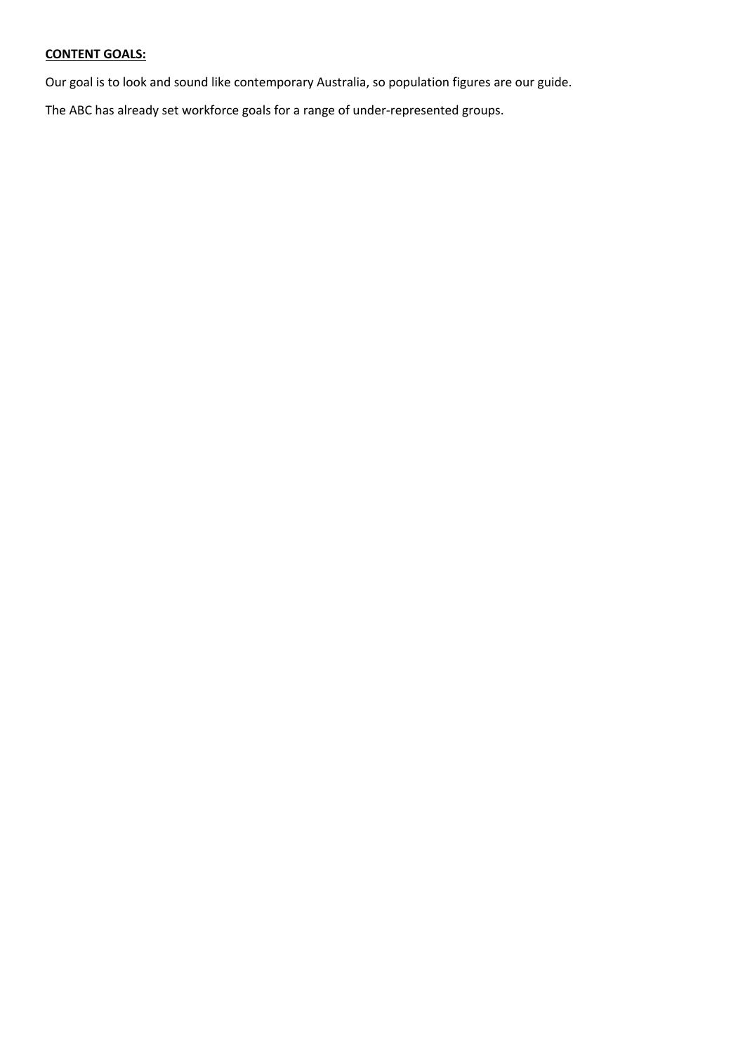# **CONTENT GOALS:**

Our goal is to look and sound like contemporary Australia, so population figures are our guide.

The ABC has already set workforce goals for a range of under-represented groups.